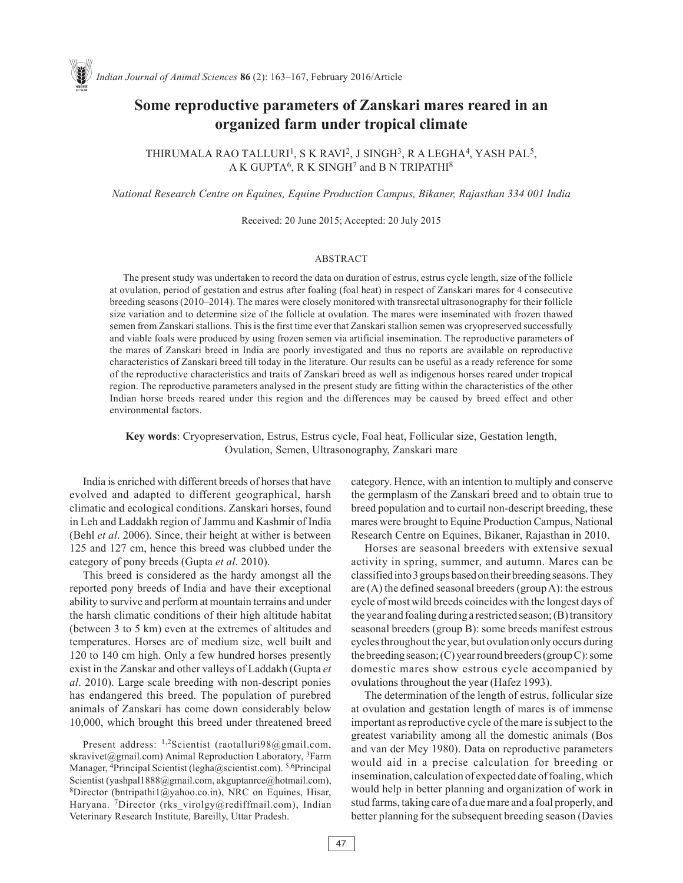# **Some reproductive parameters of Zanskari mares reared in an organized farm under tropical climate**

THIRUMALA RAO TALLURI<sup>1</sup>, S K RAVI<sup>2</sup>, J SINGH<sup>3</sup>, R A LEGHA<sup>4</sup>, YASH PAL<sup>5</sup>, A K GUPTA<sup>6</sup>, R K SINGH<sup>7</sup> and B N TRIPATHI<sup>8</sup>

*National Research Centre on Equines, Equine Production Campus, Bikaner, Rajasthan 334 001 India*

Received: 20 June 2015; Accepted: 20 July 2015

### ABSTRACT

The present study was undertaken to record the data on duration of estrus, estrus cycle length, size of the follicle at ovulation, period of gestation and estrus after foaling (foal heat) in respect of Zanskari mares for 4 consecutive breeding seasons (2010–2014). The mares were closely monitored with transrectal ultrasonography for their follicle size variation and to determine size of the follicle at ovulation. The mares were inseminated with frozen thawed semen from Zanskari stallions. This is the first time ever that Zanskari stallion semen was cryopreserved successfully and viable foals were produced by using frozen semen via artificial insemination. The reproductive parameters of the mares of Zanskari breed in India are poorly investigated and thus no reports are available on reproductive characteristics of Zanskari breed till today in the literature. Our results can be useful as a ready reference for some of the reproductive characteristics and traits of Zanskari breed as well as indigenous horses reared under tropical region. The reproductive parameters analysed in the present study are fitting within the characteristics of the other Indian horse breeds reared under this region and the differences may be caused by breed effect and other environmental factors.

**Key words**: Cryopreservation, Estrus, Estrus cycle, Foal heat, Follicular size, Gestation length, Ovulation, Semen, Ultrasonography, Zanskari mare

India is enriched with different breeds of horses that have evolved and adapted to different geographical, harsh climatic and ecological conditions. Zanskari horses, found in Leh and Laddakh region of Jammu and Kashmir of India (Behl *et al*. 2006). Since, their height at wither is between 125 and 127 cm, hence this breed was clubbed under the category of pony breeds (Gupta *et al*. 2010).

This breed is considered as the hardy amongst all the reported pony breeds of India and have their exceptional ability to survive and perform at mountain terrains and under the harsh climatic conditions of their high altitude habitat (between 3 to 5 km) even at the extremes of altitudes and temperatures. Horses are of medium size, well built and 120 to 140 cm high. Only a few hundred horses presently exist in the Zanskar and other valleys of Laddakh (Gupta *et al*. 2010). Large scale breeding with non-descript ponies has endangered this breed. The population of purebred animals of Zanskari has come down considerably below 10,000, which brought this breed under threatened breed

Present address:  $1,2$ Scientist (raotalluri98@gmail.com, skravivet@gmail.com) Animal Reproduction Laboratory,  ${}^{3}$ Farm Manager, <sup>4</sup>Principal Scientist (legha@scientist.com). <sup>5,6</sup>Principal Scientist (yashpal1888@gmail.com, akguptanrce@hotmail.com), 8Director (bntripathi1@yahoo.co.in), NRC on Equines, Hisar, Haryana. 7Director (rks\_virolgy@rediffmail.com), Indian Veterinary Research Institute, Bareilly, Uttar Pradesh.

category. Hence, with an intention to multiply and conserve the germplasm of the Zanskari breed and to obtain true to breed population and to curtail non-descript breeding, these mares were brought to Equine Production Campus, National Research Centre on Equines, Bikaner, Rajasthan in 2010.

Horses are seasonal breeders with extensive sexual activity in spring, summer, and autumn. Mares can be classified into 3 groups based on their breeding seasons. They are (A) the defined seasonal breeders (group A): the estrous cycle of most wild breeds coincides with the longest days of the year and foaling during a restricted season; (B) transitory seasonal breeders (group B): some breeds manifest estrous cycles throughout the year, but ovulation only occurs during the breeding season; (C) year round breeders (group C): some domestic mares show estrous cycle accompanied by ovulations throughout the year (Hafez 1993).

The determination of the length of estrus, follicular size at ovulation and gestation length of mares is of immense important as reproductive cycle of the mare is subject to the greatest variability among all the domestic animals (Bos and van der Mey 1980). Data on reproductive parameters would aid in a precise calculation for breeding or insemination, calculation of expected date of foaling, which would help in better planning and organization of work in stud farms, taking care of a due mare and a foal properly, and better planning for the subsequent breeding season (Davies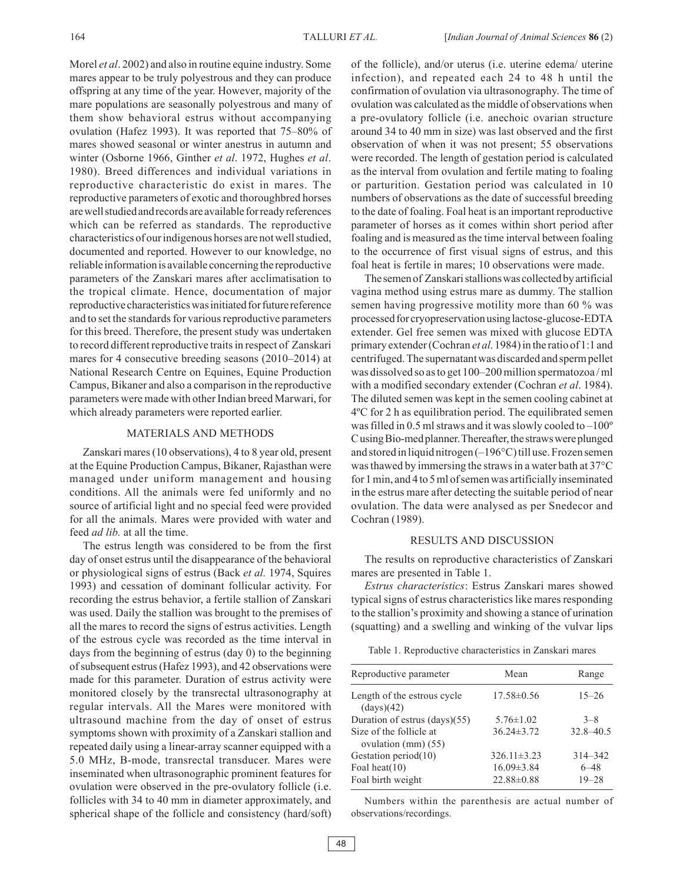Morel *et al*. 2002) and also in routine equine industry. Some mares appear to be truly polyestrous and they can produce offspring at any time of the year. However, majority of the mare populations are seasonally polyestrous and many of them show behavioral estrus without accompanying ovulation (Hafez 1993). It was reported that 75–80% of mares showed seasonal or winter anestrus in autumn and winter (Osborne 1966, Ginther *et al*. 1972, Hughes *et al*. 1980). Breed differences and individual variations in reproductive characteristic do exist in mares. The reproductive parameters of exotic and thoroughbred horses are well studied and records are available for ready references which can be referred as standards. The reproductive characteristics of our indigenous horses are not well studied, documented and reported. However to our knowledge, no reliable information is available concerning the reproductive parameters of the Zanskari mares after acclimatisation to the tropical climate. Hence, documentation of major reproductive characteristics was initiated for future reference and to set the standards for various reproductive parameters for this breed. Therefore, the present study was undertaken to record different reproductive traits in respect of Zanskari mares for 4 consecutive breeding seasons (2010–2014) at National Research Centre on Equines, Equine Production Campus, Bikaner and also a comparison in the reproductive parameters were made with other Indian breed Marwari, for which already parameters were reported earlier.

## MATERIALS AND METHODS

Zanskari mares (10 observations), 4 to 8 year old, present at the Equine Production Campus, Bikaner, Rajasthan were managed under uniform management and housing conditions. All the animals were fed uniformly and no source of artificial light and no special feed were provided for all the animals. Mares were provided with water and feed *ad lib.* at all the time.

The estrus length was considered to be from the first day of onset estrus until the disappearance of the behavioral or physiological signs of estrus (Back *et al.* 1974, Squires 1993) and cessation of dominant follicular activity. For recording the estrus behavior, a fertile stallion of Zanskari was used. Daily the stallion was brought to the premises of all the mares to record the signs of estrus activities. Length of the estrous cycle was recorded as the time interval in days from the beginning of estrus (day 0) to the beginning of subsequent estrus (Hafez 1993), and 42 observations were made for this parameter. Duration of estrus activity were monitored closely by the transrectal ultrasonography at regular intervals. All the Mares were monitored with ultrasound machine from the day of onset of estrus symptoms shown with proximity of a Zanskari stallion and repeated daily using a linear-array scanner equipped with a 5.0 MHz, B-mode, transrectal transducer. Mares were inseminated when ultrasonographic prominent features for ovulation were observed in the pre-ovulatory follicle (i.e. follicles with 34 to 40 mm in diameter approximately, and spherical shape of the follicle and consistency (hard/soft)

of the follicle), and/or uterus (i.e. uterine edema/ uterine infection), and repeated each 24 to 48 h until the confirmation of ovulation via ultrasonography. The time of ovulation was calculated as the middle of observations when a pre-ovulatory follicle (i.e. anechoic ovarian structure around 34 to 40 mm in size) was last observed and the first observation of when it was not present; 55 observations were recorded. The length of gestation period is calculated as the interval from ovulation and fertile mating to foaling or parturition. Gestation period was calculated in 10 numbers of observations as the date of successful breeding to the date of foaling. Foal heat is an important reproductive parameter of horses as it comes within short period after foaling and is measured as the time interval between foaling to the occurrence of first visual signs of estrus, and this foal heat is fertile in mares; 10 observations were made.

The semen of Zanskari stallions was collected by artificial vagina method using estrus mare as dummy. The stallion semen having progressive motility more than 60 % was processed for cryopreservation using lactose-glucose-EDTA extender. Gel free semen was mixed with glucose EDTA primary extender (Cochran *et al*. 1984) in the ratio of 1:1 and centrifuged. The supernatant was discarded and sperm pellet was dissolved so as to get 100–200 million spermatozoa / ml with a modified secondary extender (Cochran *et al*. 1984). The diluted semen was kept in the semen cooling cabinet at 4ºC for 2 h as equilibration period. The equilibrated semen was filled in 0.5 ml straws and it was slowly cooled to –100º C using Bio-med planner. Thereafter, the straws were plunged and stored in liquid nitrogen (–196°C) till use. Frozen semen was thawed by immersing the straws in a water bath at 37°C for 1 min, and 4 to 5 ml of semen was artificially inseminated in the estrus mare after detecting the suitable period of near ovulation. The data were analysed as per Snedecor and Cochran (1989).

#### RESULTS AND DISCUSSION

The results on reproductive characteristics of Zanskari mares are presented in Table 1.

*Estrus characteristics*: Estrus Zanskari mares showed typical signs of estrus characteristics like mares responding to the stallion's proximity and showing a stance of urination (squatting) and a swelling and winking of the vulvar lips

|  | Table 1. Reproductive characteristics in Zanskari mares |  |  |
|--|---------------------------------------------------------|--|--|
|  |                                                         |  |  |

| Reproductive parameter                           | Mean              | Range         |  |
|--------------------------------------------------|-------------------|---------------|--|
| Length of the estrous cycle<br>(days)(42)        | $17.58 \pm 0.56$  | $15 - 26$     |  |
| Duration of estrus (days)(55)                    | $5.76 \pm 1.02$   | $3 - 8$       |  |
| Size of the follicle at<br>ovulation $(mm)$ (55) | $36.24 \pm 3.72$  | $32.8 - 40.5$ |  |
| Gestation period(10)                             | $326.11 \pm 3.23$ | 314-342       |  |
| Foal heat $(10)$                                 | $16.09 \pm 3.84$  | $6 - 48$      |  |
| Foal birth weight                                | $22.88\pm0.88$    | $19 - 28$     |  |

Numbers within the parenthesis are actual number of observations/recordings.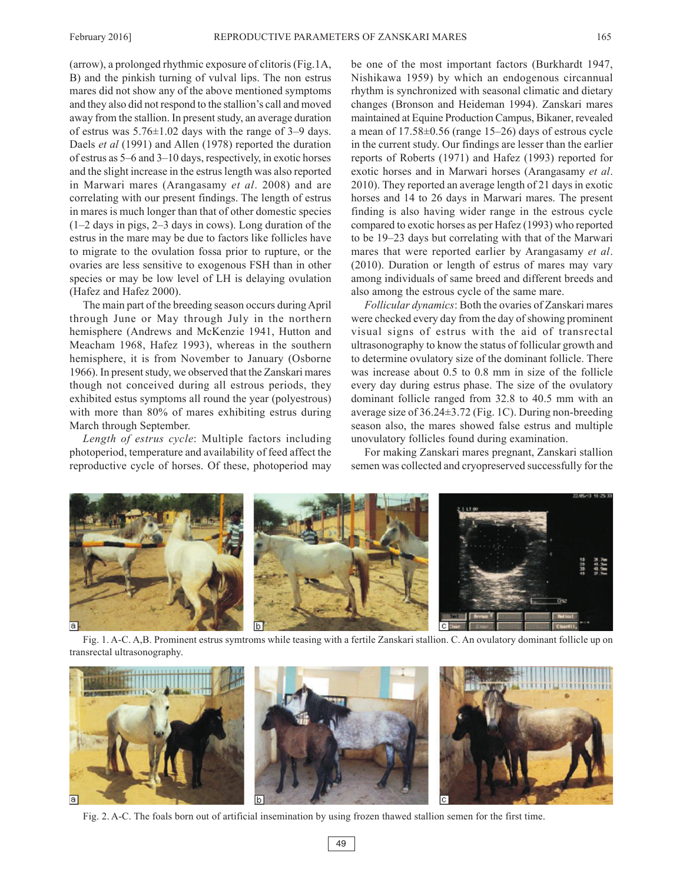(arrow), a prolonged rhythmic exposure of clitoris (Fig.1A, B) and the pinkish turning of vulval lips. The non estrus mares did not show any of the above mentioned symptoms and they also did not respond to the stallion's call and moved away from the stallion. In present study, an average duration of estrus was 5.76±1.02 days with the range of 3–9 days. Daels *et al* (1991) and Allen (1978) reported the duration of estrus as 5–6 and 3–10 days, respectively, in exotic horses and the slight increase in the estrus length was also reported in Marwari mares (Arangasamy *et al*. 2008) and are correlating with our present findings. The length of estrus in mares is much longer than that of other domestic species (1–2 days in pigs, 2–3 days in cows). Long duration of the estrus in the mare may be due to factors like follicles have to migrate to the ovulation fossa prior to rupture, or the ovaries are less sensitive to exogenous FSH than in other species or may be low level of LH is delaying ovulation (Hafez and Hafez 2000).

The main part of the breeding season occurs during April through June or May through July in the northern hemisphere (Andrews and McKenzie 1941, Hutton and Meacham 1968, Hafez 1993), whereas in the southern hemisphere, it is from November to January (Osborne 1966). In present study, we observed that the Zanskari mares though not conceived during all estrous periods, they exhibited estus symptoms all round the year (polyestrous) with more than 80% of mares exhibiting estrus during March through September.

*Length of estrus cycle*: Multiple factors including photoperiod, temperature and availability of feed affect the reproductive cycle of horses. Of these, photoperiod may be one of the most important factors (Burkhardt 1947, Nishikawa 1959) by which an endogenous circannual rhythm is synchronized with seasonal climatic and dietary changes (Bronson and Heideman 1994). Zanskari mares maintained at Equine Production Campus, Bikaner, revealed a mean of 17.58±0.56 (range 15–26) days of estrous cycle in the current study. Our findings are lesser than the earlier reports of Roberts (1971) and Hafez (1993) reported for exotic horses and in Marwari horses (Arangasamy *et al*. 2010). They reported an average length of 21 days in exotic horses and 14 to 26 days in Marwari mares. The present finding is also having wider range in the estrous cycle compared to exotic horses as per Hafez (1993) who reported to be 19–23 days but correlating with that of the Marwari mares that were reported earlier by Arangasamy *et al*. (2010). Duration or length of estrus of mares may vary among individuals of same breed and different breeds and also among the estrous cycle of the same mare.

*Follicular dynamics*: Both the ovaries of Zanskari mares were checked every day from the day of showing prominent visual signs of estrus with the aid of transrectal ultrasonography to know the status of follicular growth and to determine ovulatory size of the dominant follicle. There was increase about 0.5 to 0.8 mm in size of the follicle every day during estrus phase. The size of the ovulatory dominant follicle ranged from 32.8 to 40.5 mm with an average size of 36.24±3.72 (Fig. 1C). During non-breeding season also, the mares showed false estrus and multiple unovulatory follicles found during examination.

For making Zanskari mares pregnant, Zanskari stallion semen was collected and cryopreserved successfully for the



Fig. 1. A-C. A,B. Prominent estrus symtroms while teasing with a fertile Zanskari stallion. C. An ovulatory dominant follicle up on transrectal ultrasonography.



Fig. 2. A-C. The foals born out of artificial insemination by using frozen thawed stallion semen for the first time.

49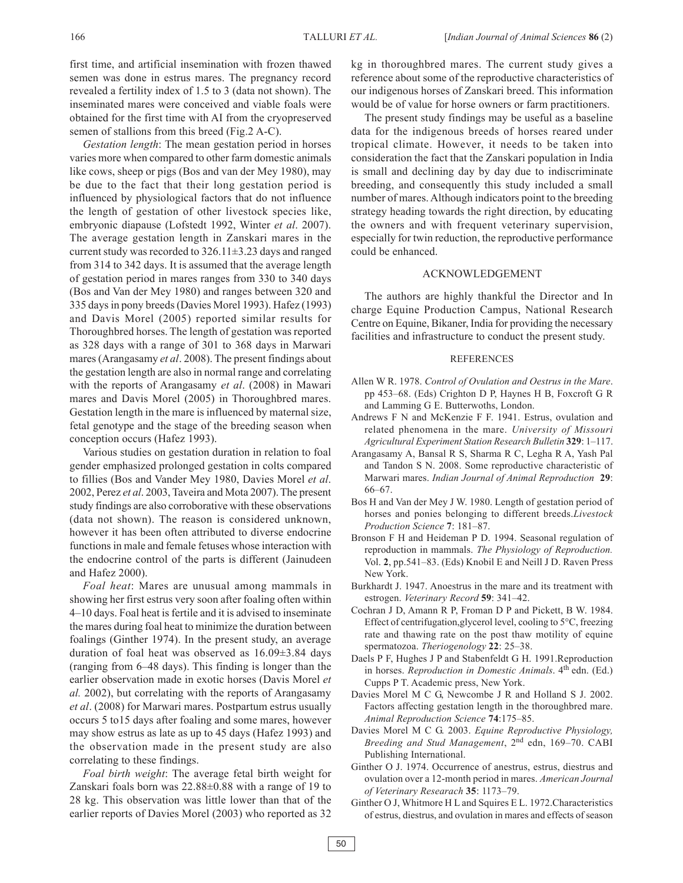first time, and artificial insemination with frozen thawed semen was done in estrus mares. The pregnancy record revealed a fertility index of 1.5 to 3 (data not shown). The inseminated mares were conceived and viable foals were obtained for the first time with AI from the cryopreserved semen of stallions from this breed (Fig.2 A-C).

*Gestation length*: The mean gestation period in horses varies more when compared to other farm domestic animals like cows, sheep or pigs (Bos and van der Mey 1980), may be due to the fact that their long gestation period is influenced by physiological factors that do not influence the length of gestation of other livestock species like, embryonic diapause (Lofstedt 1992, Winter *et al*. 2007). The average gestation length in Zanskari mares in the current study was recorded to 326.11±3.23 days and ranged from 314 to 342 days. It is assumed that the average length of gestation period in mares ranges from 330 to 340 days (Bos and Van der Mey 1980) and ranges between 320 and 335 days in pony breeds (Davies Morel 1993). Hafez (1993) and Davis Morel (2005) reported similar results for Thoroughbred horses. The length of gestation was reported as 328 days with a range of 301 to 368 days in Marwari mares (Arangasamy *et al*. 2008). The present findings about the gestation length are also in normal range and correlating with the reports of Arangasamy *et al*. (2008) in Mawari mares and Davis Morel (2005) in Thoroughbred mares. Gestation length in the mare is influenced by maternal size, fetal genotype and the stage of the breeding season when conception occurs (Hafez 1993).

Various studies on gestation duration in relation to foal gender emphasized prolonged gestation in colts compared to fillies (Bos and Vander Mey 1980, Davies Morel *et al*. 2002, Perez *et al*. 2003, Taveira and Mota 2007). The present study findings are also corroborative with these observations (data not shown). The reason is considered unknown, however it has been often attributed to diverse endocrine functions in male and female fetuses whose interaction with the endocrine control of the parts is different (Jainudeen and Hafez 2000).

*Foal heat*: Mares are unusual among mammals in showing her first estrus very soon after foaling often within 4–10 days. Foal heat is fertile and it is advised to inseminate the mares during foal heat to minimize the duration between foalings (Ginther 1974). In the present study, an average duration of foal heat was observed as 16.09±3.84 days (ranging from 6–48 days). This finding is longer than the earlier observation made in exotic horses (Davis Morel *et al.* 2002), but correlating with the reports of Arangasamy *et al*. (2008) for Marwari mares. Postpartum estrus usually occurs 5 to15 days after foaling and some mares, however may show estrus as late as up to 45 days (Hafez 1993) and the observation made in the present study are also correlating to these findings.

*Foal birth weight*: The average fetal birth weight for Zanskari foals born was 22.88±0.88 with a range of 19 to 28 kg. This observation was little lower than that of the earlier reports of Davies Morel (2003) who reported as 32 kg in thoroughbred mares. The current study gives a reference about some of the reproductive characteristics of our indigenous horses of Zanskari breed. This information would be of value for horse owners or farm practitioners.

The present study findings may be useful as a baseline data for the indigenous breeds of horses reared under tropical climate. However, it needs to be taken into consideration the fact that the Zanskari population in India is small and declining day by day due to indiscriminate breeding, and consequently this study included a small number of mares. Although indicators point to the breeding strategy heading towards the right direction, by educating the owners and with frequent veterinary supervision, especially for twin reduction, the reproductive performance could be enhanced.

#### ACKNOWLEDGEMENT

The authors are highly thankful the Director and In charge Equine Production Campus, National Research Centre on Equine, Bikaner, India for providing the necessary facilities and infrastructure to conduct the present study.

#### REFERENCES

- Allen W R. 1978. *Control of Ovulation and Oestrus in the Mare*. pp 453–68. (Eds) Crighton D P, Haynes H B, Foxcroft G R and Lamming G E. Butterwoths, London.
- Andrews F N and McKenzie F F. 1941. Estrus, ovulation and related phenomena in the mare. *University of Missouri Agricultural Experiment Station Research Bulletin* **329**: 1–117.
- Arangasamy A, Bansal R S, Sharma R C, Legha R A, Yash Pal and Tandon S N. 2008. Some reproductive characteristic of Marwari mares. *Indian Journal of Animal Reproduction* **29**: 66–67.
- Bos H and Van der Mey J W. 1980. Length of gestation period of horses and ponies belonging to different breeds.*Livestock Production Science* **7**: 181–87.
- Bronson F H and Heideman P D. 1994. Seasonal regulation of reproduction in mammals. *The Physiology of Reproduction.* Vol. **2**, pp.541–83. (Eds) Knobil E and Neill J D. Raven Press New York.
- Burkhardt J. 1947. Anoestrus in the mare and its treatment with estrogen. *Veterinary Record* **59**: 341–42.
- Cochran J D, Amann R P, Froman D P and Pickett, B W. 1984. Effect of centrifugation,glycerol level, cooling to 5°C, freezing rate and thawing rate on the post thaw motility of equine spermatozoa. *Theriogenology* **22**: 25–38.
- Daels P F, Hughes J P and Stabenfeldt G H. 1991.Reproduction in horses. *Reproduction in Domestic Animals*. 4<sup>th</sup> edn. (Ed.) Cupps P T. Academic press, New York.
- Davies Morel M C G, Newcombe J R and Holland S J. 2002. Factors affecting gestation length in the thoroughbred mare. *Animal Reproduction Science* **74**:175–85.
- Davies Morel M C G. 2003. *Equine Reproductive Physiology, Breeding and Stud Management*, 2nd edn, 169–70. CABI Publishing International.
- Ginther O J. 1974. Occurrence of anestrus, estrus, diestrus and ovulation over a 12-month period in mares. *American Journal of Veterinary Researach* **35**: 1173–79.
- Ginther O J, Whitmore H L and Squires E L. 1972.Characteristics of estrus, diestrus, and ovulation in mares and effects of season